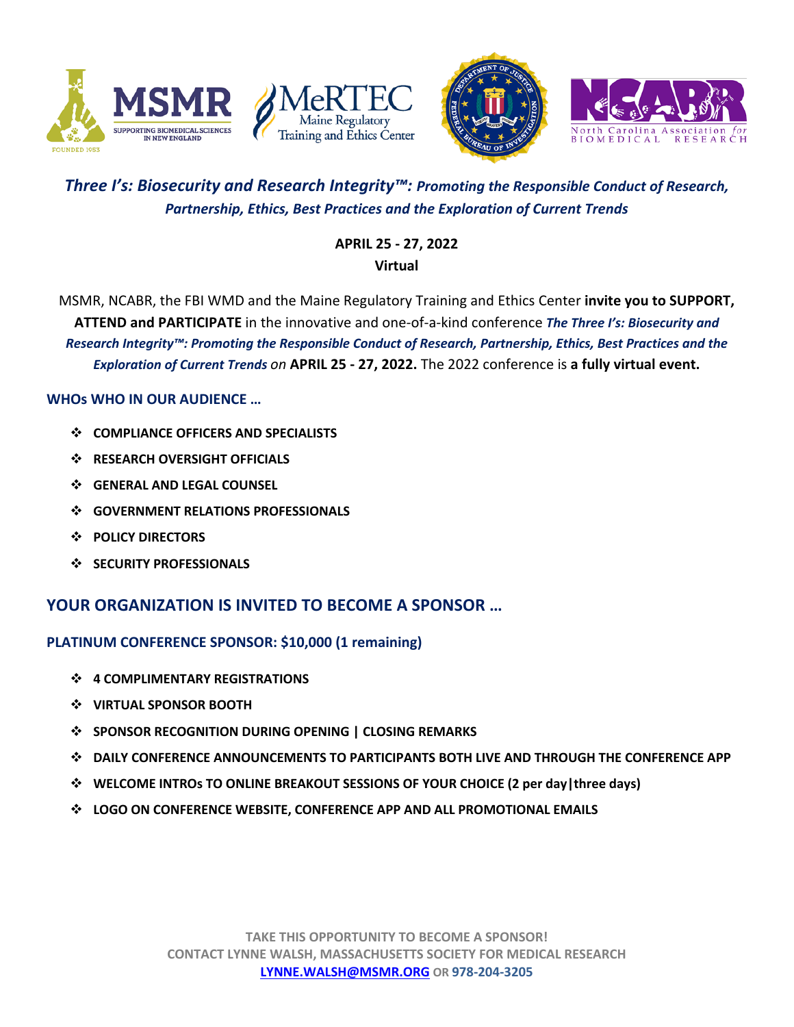







# *Three I's: Biosecurity and Research Integrity™: Promoting the Responsible Conduct of Research, Partnership, Ethics, Best Practices and the Exploration of Current Trends*

## **APRIL 25 - 27, 2022 Virtual**

MSMR, NCABR, the FBI WMD and the Maine Regulatory Training and Ethics Center **invite you to SUPPORT, ATTEND and PARTICIPATE** in the innovative and one-of-a-kind conference *The Three I's: Biosecurity and Research Integrity™: Promoting the Responsible Conduct of Research, Partnership, Ethics, Best Practices and the Exploration of Current Trends on* **APRIL 25 - 27, 2022.** The 2022 conference is **a fully virtual event.**

## **WHOs WHO IN OUR AUDIENCE …**

- ! **COMPLIANCE OFFICERS AND SPECIALISTS**
- $\div$  **RESEARCH OVERSIGHT OFFICIALS**
- ! **GENERAL AND LEGAL COUNSEL**
- ! **GOVERNMENT RELATIONS PROFESSIONALS**
- ! **POLICY DIRECTORS**
- ! **SECURITY PROFESSIONALS**

## **YOUR ORGANIZATION IS INVITED TO BECOME A SPONSOR …**

## **PLATINUM CONFERENCE SPONSOR: \$10,000 (1 remaining)**

- ! **4 COMPLIMENTARY REGISTRATIONS**
- ! **VIRTUAL SPONSOR BOOTH**
- ! **SPONSOR RECOGNITION DURING OPENING | CLOSING REMARKS**
- ! **DAILY CONFERENCE ANNOUNCEMENTS TO PARTICIPANTS BOTH LIVE AND THROUGH THE CONFERENCE APP**
- ! **WELCOME INTROs TO ONLINE BREAKOUT SESSIONS OF YOUR CHOICE (2 per day|three days)**
- ! **LOGO ON CONFERENCE WEBSITE, CONFERENCE APP AND ALL PROMOTIONAL EMAILS**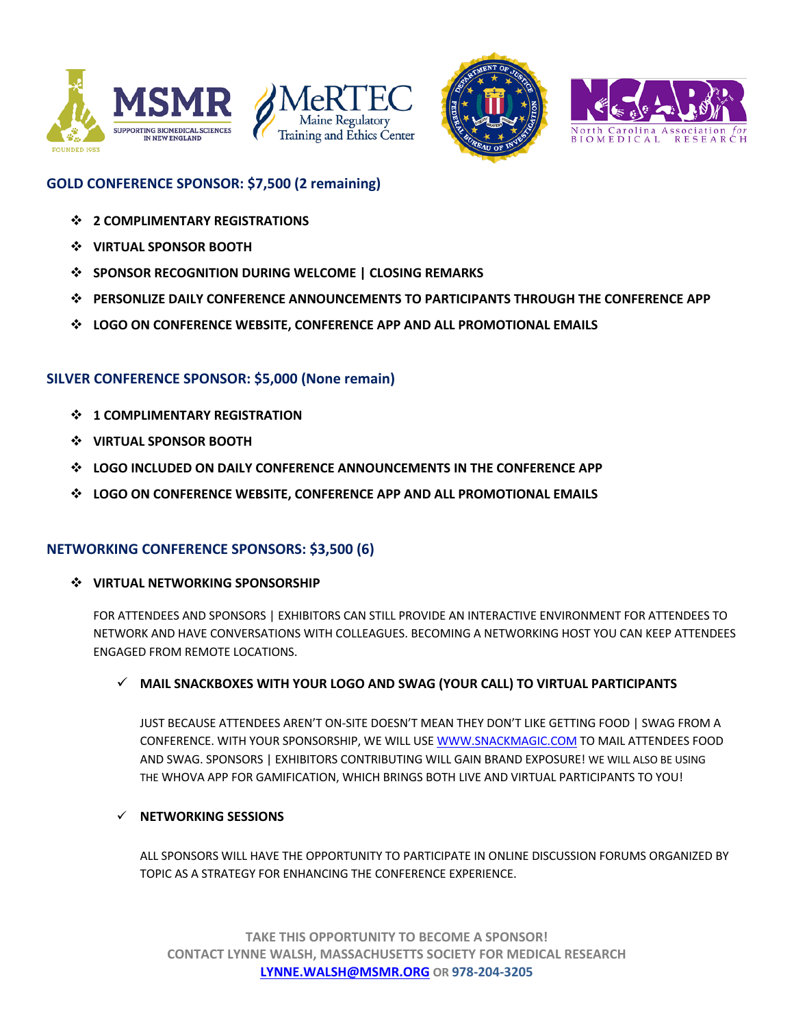





## **GOLD CONFERENCE SPONSOR: \$7,500 (2 remaining)**

- ! **2 COMPLIMENTARY REGISTRATIONS**
- ! **VIRTUAL SPONSOR BOOTH**
- ! **SPONSOR RECOGNITION DURING WELCOME | CLOSING REMARKS**
- ! **PERSONLIZE DAILY CONFERENCE ANNOUNCEMENTS TO PARTICIPANTS THROUGH THE CONFERENCE APP**
- ! **LOGO ON CONFERENCE WEBSITE, CONFERENCE APP AND ALL PROMOTIONAL EMAILS**

#### **SILVER CONFERENCE SPONSOR: \$5,000 (None remain)**

- ! **1 COMPLIMENTARY REGISTRATION**
- ! **VIRTUAL SPONSOR BOOTH**
- ! **LOGO INCLUDED ON DAILY CONFERENCE ANNOUNCEMENTS IN THE CONFERENCE APP**
- ! **LOGO ON CONFERENCE WEBSITE, CONFERENCE APP AND ALL PROMOTIONAL EMAILS**

#### **NETWORKING CONFERENCE SPONSORS: \$3,500 (6)**

#### ! **VIRTUAL NETWORKING SPONSORSHIP**

FOR ATTENDEES AND SPONSORS | EXHIBITORS CAN STILL PROVIDE AN INTERACTIVE ENVIRONMENT FOR ATTENDEES TO NETWORK AND HAVE CONVERSATIONS WITH COLLEAGUES. BECOMING A NETWORKING HOST YOU CAN KEEP ATTENDEES ENGAGED FROM REMOTE LOCATIONS.

#### " **MAIL SNACKBOXES WITH YOUR LOGO AND SWAG (YOUR CALL) TO VIRTUAL PARTICIPANTS**

JUST BECAUSE ATTENDEES AREN'T ON-SITE DOESN'T MEAN THEY DON'T LIKE GETTING FOOD | SWAG FROM A CONFERENCE. WITH YOUR SPONSORSHIP, WE WILL USE WWW.SNACKMAGIC.COM TO MAIL ATTENDEES FOOD AND SWAG. SPONSORS | EXHIBITORS CONTRIBUTING WILL GAIN BRAND EXPOSURE! WE WILL ALSO BE USING THE WHOVA APP FOR GAMIFICATION, WHICH BRINGS BOTH LIVE AND VIRTUAL PARTICIPANTS TO YOU!

#### " **NETWORKING SESSIONS**

ALL SPONSORS WILL HAVE THE OPPORTUNITY TO PARTICIPATE IN ONLINE DISCUSSION FORUMS ORGANIZED BY TOPIC AS A STRATEGY FOR ENHANCING THE CONFERENCE EXPERIENCE.